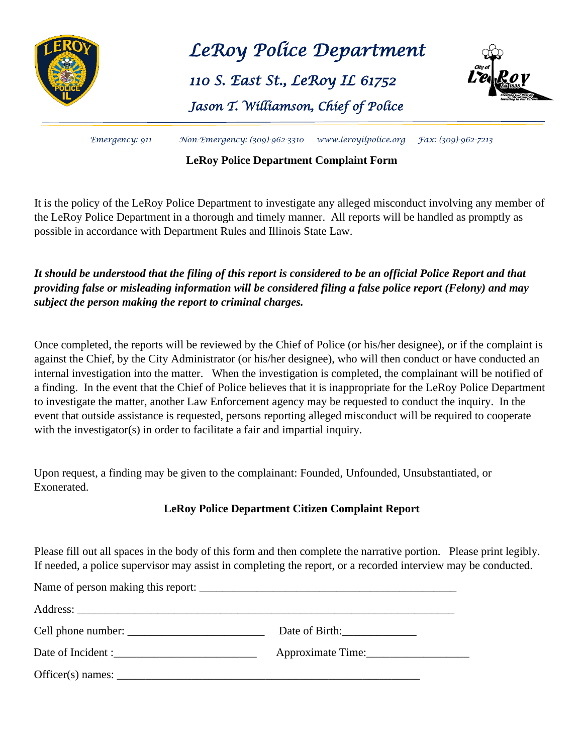

*LeRoy Police Department* 

# *110 S. East St., LeRoy IL 61752*

# *Jason T. Williamson, Chief of Police*



*Emergency: 911 Non-Emergency: (309)-962-3310 [www.leroyilpolice.org](http://www.leroyilpolice.org/) Fax: (309)-962-7213*

#### **LeRoy Police Department Complaint Form**

It is the policy of the LeRoy Police Department to investigate any alleged misconduct involving any member of the LeRoy Police Department in a thorough and timely manner. All reports will be handled as promptly as possible in accordance with Department Rules and Illinois State Law.

## *It should be understood that the filing of this report is considered to be an official Police Report and that providing false or misleading information will be considered filing a false police report (Felony) and may subject the person making the report to criminal charges.*

Once completed, the reports will be reviewed by the Chief of Police (or his/her designee), or if the complaint is against the Chief, by the City Administrator (or his/her designee), who will then conduct or have conducted an internal investigation into the matter. When the investigation is completed, the complainant will be notified of a finding. In the event that the Chief of Police believes that it is inappropriate for the LeRoy Police Department to investigate the matter, another Law Enforcement agency may be requested to conduct the inquiry. In the event that outside assistance is requested, persons reporting alleged misconduct will be required to cooperate with the investigator(s) in order to facilitate a fair and impartial inquiry.

Upon request, a finding may be given to the complainant: Founded, Unfounded, Unsubstantiated, or Exonerated.

## **LeRoy Police Department Citizen Complaint Report**

Please fill out all spaces in the body of this form and then complete the narrative portion. Please print legibly. If needed, a police supervisor may assist in completing the report, or a recorded interview may be conducted.

|                                     | Date of Birth:    |
|-------------------------------------|-------------------|
| Date of Incident :                  | Approximate Time: |
| $Officer(s)$ names: $\qquad \qquad$ |                   |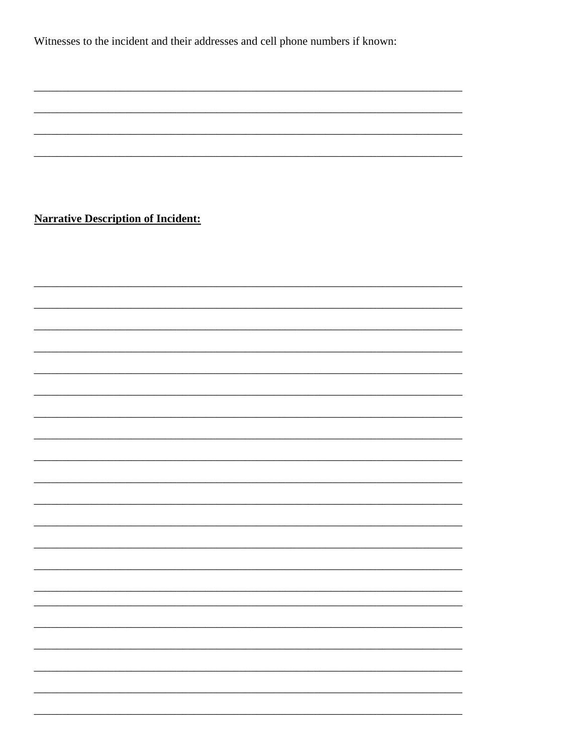Witnesses to the incident and their addresses and cell phone numbers if known:

**Narrative Description of Incident:**